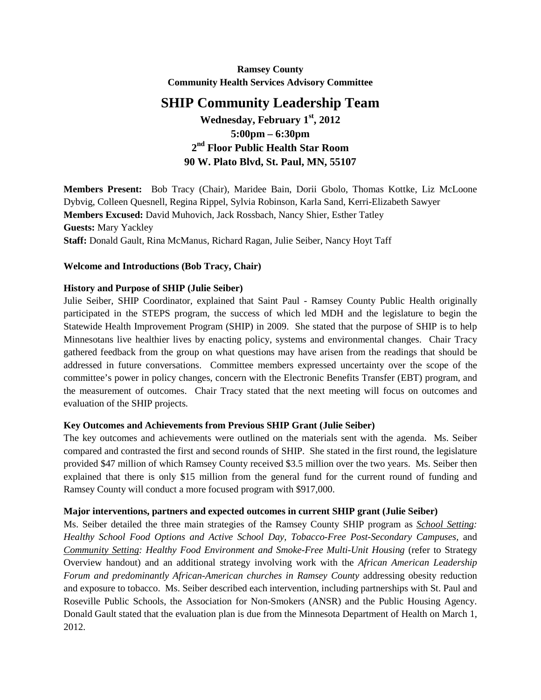**Ramsey County Community Health Services Advisory Committee**

# **SHIP Community Leadership Team**

**Wednesday, February 1st, 2012 5:00pm – 6:30pm 2nd Floor Public Health Star Room 90 W. Plato Blvd, St. Paul, MN, 55107**

**Members Present:** Bob Tracy (Chair), Maridee Bain, Dorii Gbolo, Thomas Kottke, Liz McLoone Dybvig, Colleen Quesnell, Regina Rippel, Sylvia Robinson, Karla Sand, Kerri-Elizabeth Sawyer **Members Excused:** David Muhovich, Jack Rossbach, Nancy Shier, Esther Tatley **Guests:** Mary Yackley **Staff:** Donald Gault, Rina McManus, Richard Ragan, Julie Seiber, Nancy Hoyt Taff

#### **Welcome and Introductions (Bob Tracy, Chair)**

#### **History and Purpose of SHIP (Julie Seiber)**

Julie Seiber, SHIP Coordinator, explained that Saint Paul - Ramsey County Public Health originally participated in the STEPS program, the success of which led MDH and the legislature to begin the Statewide Health Improvement Program (SHIP) in 2009. She stated that the purpose of SHIP is to help Minnesotans live healthier lives by enacting policy, systems and environmental changes. Chair Tracy gathered feedback from the group on what questions may have arisen from the readings that should be addressed in future conversations. Committee members expressed uncertainty over the scope of the committee's power in policy changes, concern with the Electronic Benefits Transfer (EBT) program, and the measurement of outcomes. Chair Tracy stated that the next meeting will focus on outcomes and evaluation of the SHIP projects.

## **Key Outcomes and Achievements from Previous SHIP Grant (Julie Seiber)**

The key outcomes and achievements were outlined on the materials sent with the agenda. Ms. Seiber compared and contrasted the first and second rounds of SHIP. She stated in the first round, the legislature provided \$47 million of which Ramsey County received \$3.5 million over the two years. Ms. Seiber then explained that there is only \$15 million from the general fund for the current round of funding and Ramsey County will conduct a more focused program with \$917,000.

## **Major interventions, partners and expected outcomes in current SHIP grant (Julie Seiber)**

Ms. Seiber detailed the three main strategies of the Ramsey County SHIP program as *School Setting: Healthy School Food Options and Active School Day, Tobacco-Free Post-Secondary Campuses,* and *Community Setting: Healthy Food Environment and Smoke-Free Multi-Unit Housing* (refer to Strategy Overview handout) and an additional strategy involving work with the *African American Leadership Forum and predominantly African-American churches in Ramsey County* addressing obesity reduction and exposure to tobacco. Ms. Seiber described each intervention, including partnerships with St. Paul and Roseville Public Schools, the Association for Non-Smokers (ANSR) and the Public Housing Agency. Donald Gault stated that the evaluation plan is due from the Minnesota Department of Health on March 1, 2012.